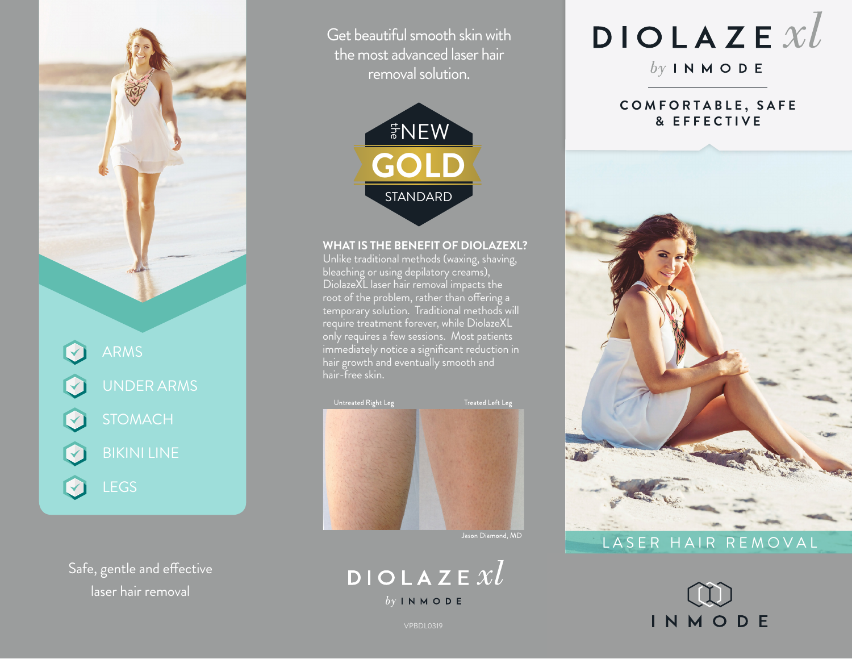

Safe, gentle and effective laser hair removal

Get beautiful smooth skin with the most advanced laser hair removal solution.



#### **WHAT IS THE BENEFIT OF DIOLAZEXL?**

Unlike traditional methods (waxing, shaving, bleaching or using depilatory creams), DiolazeXL laser hair removal impacts the root of the problem, rather than offering a temporary solution. Traditional methods will require treatment forever, while DiolazeXL only requires a few sessions. Most patients immediately notice a significant reduction in hair growth and eventually smooth and hair-free skin.





# $DIOLAZEXL$

 $by INMODE$ 

#### **C O M F O R T A B L E , S A F E & E F F E C T I V E**



## LASER HAIR REMOVAL



VPBDL0319